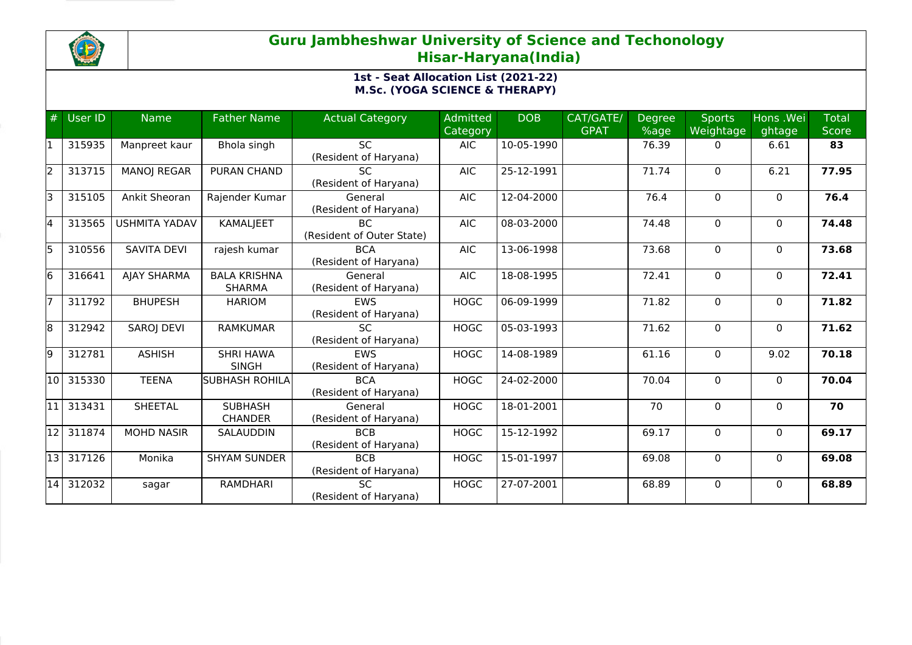

# **Guru Jambheshwar University of Science and Techonology Hisar-Haryana(India)**

## **1st - Seat Allocation List (2021-22) M.Sc. (YOGA SCIENCE & THERAPY)**

| #     | User ID   | <b>Name</b>          | <b>Father Name</b>                   | <b>Actual Category</b>                 | <b>Admitted</b><br><b>Category</b> | <b>DOB</b>       | CAT/GATE/<br><b>GPAT</b> | <b>Degree</b><br>%age | <b>Sports</b><br>Weightage | Hons .Wei<br>ghtage | <b>Total</b><br><b>Score</b> |
|-------|-----------|----------------------|--------------------------------------|----------------------------------------|------------------------------------|------------------|--------------------------|-----------------------|----------------------------|---------------------|------------------------------|
| 11    | 315935    | Manpreet kaur        | Bhola singh                          | <b>SC</b><br>(Resident of Haryana)     | AIC                                | 10-05-1990       |                          | 76.39                 | 0                          | 6.61                | 83                           |
| 2     | 313715    | <b>MANOJ REGAR</b>   | PURAN CHAND                          | <b>SC</b><br>(Resident of Haryana)     | <b>AIC</b>                         | 25-12-1991       |                          | 71.74                 | $\Omega$                   | 6.21                | 77.95                        |
| lз    | 315105    | Ankit Sheoran        | Rajender Kumar                       | General<br>(Resident of Haryana)       | <b>AIC</b>                         | 12-04-2000       |                          | 76.4                  | $\Omega$                   | $\mathbf{0}$        | 76.4                         |
| 4     | 313565    | <b>USHMITA YADAV</b> | <b>KAMALJEET</b>                     | <b>BC</b><br>(Resident of Outer State) | <b>AIC</b>                         | 08-03-2000       |                          | 74.48                 | $\Omega$                   | $\mathbf{0}$        | 74.48                        |
| 5     | 310556    | <b>SAVITA DEVI</b>   | rajesh kumar                         | <b>BCA</b><br>(Resident of Haryana)    | <b>AIC</b>                         | 13-06-1998       |                          | 73.68                 | $\Omega$                   | $\mathbf{0}$        | 73.68                        |
| l6    | 316641    | <b>AJAY SHARMA</b>   | <b>BALA KRISHNA</b><br><b>SHARMA</b> | General<br>(Resident of Haryana)       | <b>AIC</b>                         | 18-08-1995       |                          | 72.41                 | 0                          | 0                   | 72.41                        |
| 17    | 311792    | <b>BHUPESH</b>       | <b>HARIOM</b>                        | <b>EWS</b><br>(Resident of Haryana)    | <b>HOGC</b>                        | 06-09-1999       |                          | 71.82                 | $\Omega$                   | $\mathbf{0}$        | 71.82                        |
| 8     | 312942    | <b>SAROJ DEVI</b>    | <b>RAMKUMAR</b>                      | SC.<br>(Resident of Haryana)           | <b>HOGC</b>                        | $05 - 03 - 1993$ |                          | 71.62                 | $\Omega$                   | $\mathbf{0}$        | 71.62                        |
| 9     | 312781    | <b>ASHISH</b>        | <b>SHRI HAWA</b><br><b>SINGH</b>     | EWS<br>(Resident of Haryana)           | <b>HOGC</b>                        | 14-08-1989       |                          | 61.16                 | 0                          | 9.02                | 70.18                        |
| 10    | 315330    | <b>TEENA</b>         | <b>SUBHASH ROHILA</b>                | <b>BCA</b><br>(Resident of Haryana)    | <b>HOGC</b>                        | 24-02-2000       |                          | 70.04                 | $\Omega$                   | $\Omega$            | 70.04                        |
| 11    | 313431    | <b>SHEETAL</b>       | <b>SUBHASH</b><br><b>CHANDER</b>     | General<br>(Resident of Haryana)       | <b>HOGC</b>                        | 18-01-2001       |                          | 70                    | $\Omega$                   | $\mathbf{0}$        | 70                           |
| l12 l | 311874    | <b>MOHD NASIR</b>    | <b>SALAUDDIN</b>                     | <b>BCB</b><br>(Resident of Haryana)    | <b>HOGC</b>                        | 15-12-1992       |                          | 69.17                 | $\Omega$                   | $\mathbf{0}$        | 69.17                        |
|       | 13 317126 | Monika               | <b>SHYAM SUNDER</b>                  | <b>BCB</b><br>(Resident of Haryana)    | <b>HOGC</b>                        | 15-01-1997       |                          | 69.08                 | 0                          | $\mathbf 0$         | 69.08                        |
| 14    | 312032    | sagar                | <b>RAMDHARI</b>                      | <b>SC</b><br>(Resident of Haryana)     | <b>HOGC</b>                        | 27-07-2001       |                          | 68.89                 | $\Omega$                   | $\Omega$            | 68.89                        |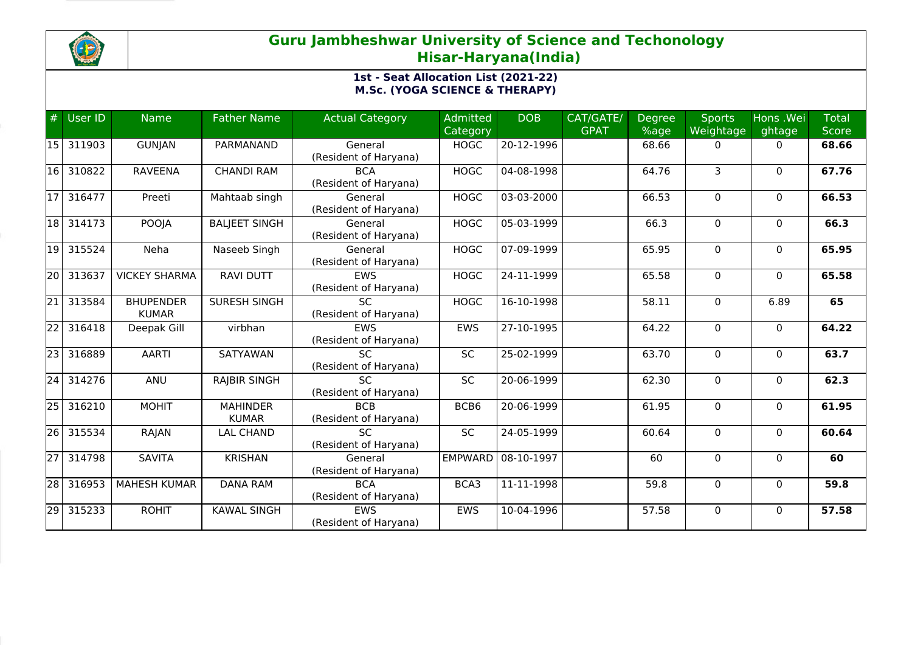

# **Guru Jambheshwar University of Science and Techonology Hisar-Haryana(India)**

## **1st - Seat Allocation List (2021-22) M.Sc. (YOGA SCIENCE & THERAPY)**

| #               | User ID | <b>Name</b>                      | <b>Father Name</b>              | <b>Actual Category</b>                   | Admitted       | <b>DOB</b> | CAT/GATE/   | Degree | <b>Sports</b>  | Hons .Wei    | <b>Total</b> |
|-----------------|---------|----------------------------------|---------------------------------|------------------------------------------|----------------|------------|-------------|--------|----------------|--------------|--------------|
|                 |         |                                  |                                 |                                          | Category       |            | <b>GPAT</b> | %age   | Weightage      | ghtage       | <b>Score</b> |
| 15              | 311903  | <b>GUNJAN</b>                    | PARMANAND                       | General<br>(Resident of Haryana)         | <b>HOGC</b>    | 20-12-1996 |             | 68.66  | 0              | 0            | 68.66        |
| 16 I            | 310822  | <b>RAVEENA</b>                   | <b>CHANDI RAM</b>               | <b>BCA</b><br>(Resident of Haryana)      | <b>HOGC</b>    | 04-08-1998 |             | 64.76  | $\overline{3}$ | $\mathbf 0$  | 67.76        |
| 117             | 316477  | Preeti                           | Mahtaab singh                   | General<br>(Resident of Haryana)         | <b>HOGC</b>    | 03-03-2000 |             | 66.53  | $\Omega$       | $\mathbf{0}$ | 66.53        |
| 18              | 314173  | POOJA                            | <b>BALJEET SINGH</b>            | General<br>(Resident of Haryana)         | <b>HOGC</b>    | 05-03-1999 |             | 66.3   | $\mathbf 0$    | $\mathbf{0}$ | 66.3         |
| 19              | 315524  | Neha                             | Naseeb Singh                    | General<br>(Resident of Haryana)         | <b>HOGC</b>    | 07-09-1999 |             | 65.95  | $\mathbf 0$    | $\mathbf 0$  | 65.95        |
| 20              | 313637  | <b>VICKEY SHARMA</b>             | <b>RAVI DUTT</b>                | <b>EWS</b><br>(Resident of Haryana)      | <b>HOGC</b>    | 24-11-1999 |             | 65.58  | $\Omega$       | $\mathbf{0}$ | 65.58        |
| $\overline{21}$ | 313584  | <b>BHUPENDER</b><br><b>KUMAR</b> | <b>SURESH SINGH</b>             | <b>SC</b><br>(Resident of Haryana)       | <b>HOGC</b>    | 16-10-1998 |             | 58.11  | $\mathbf 0$    | 6.89         | 65           |
| $\overline{22}$ | 316418  | Deepak Gill                      | virbhan                         | <b>EWS</b><br>(Resident of Haryana)      | <b>EWS</b>     | 27-10-1995 |             | 64.22  | $\mathbf 0$    | $\Omega$     | 64.22        |
| $\overline{23}$ | 316889  | <b>AARTI</b>                     | SATYAWAN                        | <b>SC</b><br>(Resident of Haryana)       | SC             | 25-02-1999 |             | 63.70  | $\mathbf 0$    | $\mathbf{0}$ | 63.7         |
| $\overline{24}$ | 314276  | ANU                              | <b>RAJBIR SINGH</b>             | $\overline{SC}$<br>(Resident of Haryana) | <b>SC</b>      | 20-06-1999 |             | 62.30  | $\Omega$       | $\mathbf{0}$ | 62.3         |
| $\overline{25}$ | 316210  | <b>MOHIT</b>                     | <b>MAHINDER</b><br><b>KUMAR</b> | <b>BCB</b><br>(Resident of Haryana)      | BCB6           | 20-06-1999 |             | 61.95  | $\Omega$       | $\Omega$     | 61.95        |
| 26              | 315534  | RAJAN                            | <b>LAL CHAND</b>                | <b>SC</b><br>(Resident of Haryana)       | SC             | 24-05-1999 |             | 60.64  | 0              | $\mathbf{0}$ | 60.64        |
| $\overline{27}$ | 314798  | <b>SAVITA</b>                    | <b>KRISHAN</b>                  | General<br>(Resident of Haryana)         | <b>EMPWARD</b> | 08-10-1997 |             | 60     | 0              | 0            | 60           |
| $\overline{28}$ | 316953  | <b>MAHESH KUMAR</b>              | <b>DANA RAM</b>                 | <b>BCA</b><br>(Resident of Haryana)      | BCA3           | 11-11-1998 |             | 59.8   | $\mathbf 0$    | $\Omega$     | 59.8         |
| $\overline{29}$ | 315233  | <b>ROHIT</b>                     | <b>KAWAL SINGH</b>              | <b>EWS</b><br>(Resident of Haryana)      | <b>EWS</b>     | 10-04-1996 |             | 57.58  | 0              | $\mathbf{0}$ | 57.58        |